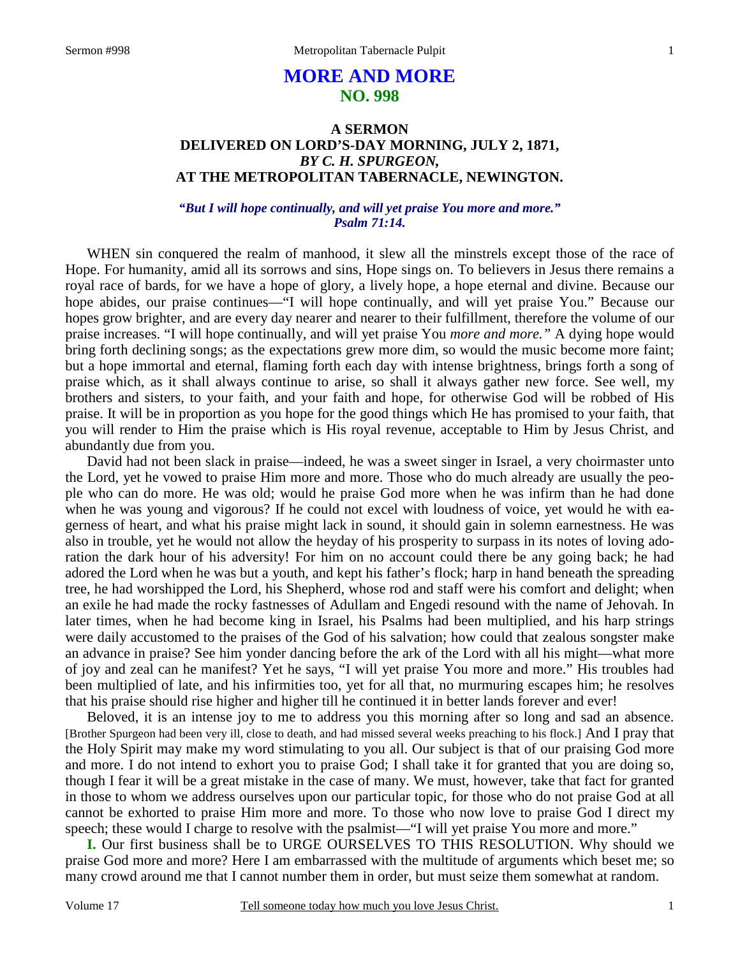# **MORE AND MORE NO. 998**

# **A SERMON DELIVERED ON LORD'S-DAY MORNING, JULY 2, 1871,**  *BY C. H. SPURGEON,*  **AT THE METROPOLITAN TABERNACLE, NEWINGTON.**

## *"But I will hope continually, and will yet praise You more and more." Psalm 71:14.*

WHEN sin conquered the realm of manhood, it slew all the minstrels except those of the race of Hope. For humanity, amid all its sorrows and sins, Hope sings on. To believers in Jesus there remains a royal race of bards, for we have a hope of glory, a lively hope, a hope eternal and divine. Because our hope abides, our praise continues—"I will hope continually, and will yet praise You." Because our hopes grow brighter, and are every day nearer and nearer to their fulfillment, therefore the volume of our praise increases. "I will hope continually, and will yet praise You *more and more."* A dying hope would bring forth declining songs; as the expectations grew more dim, so would the music become more faint; but a hope immortal and eternal, flaming forth each day with intense brightness, brings forth a song of praise which, as it shall always continue to arise, so shall it always gather new force. See well, my brothers and sisters, to your faith, and your faith and hope, for otherwise God will be robbed of His praise. It will be in proportion as you hope for the good things which He has promised to your faith, that you will render to Him the praise which is His royal revenue, acceptable to Him by Jesus Christ, and abundantly due from you.

David had not been slack in praise—indeed, he was a sweet singer in Israel, a very choirmaster unto the Lord, yet he vowed to praise Him more and more. Those who do much already are usually the people who can do more. He was old; would he praise God more when he was infirm than he had done when he was young and vigorous? If he could not excel with loudness of voice, yet would he with eagerness of heart, and what his praise might lack in sound, it should gain in solemn earnestness. He was also in trouble, yet he would not allow the heyday of his prosperity to surpass in its notes of loving adoration the dark hour of his adversity! For him on no account could there be any going back; he had adored the Lord when he was but a youth, and kept his father's flock; harp in hand beneath the spreading tree, he had worshipped the Lord, his Shepherd, whose rod and staff were his comfort and delight; when an exile he had made the rocky fastnesses of Adullam and Engedi resound with the name of Jehovah. In later times, when he had become king in Israel, his Psalms had been multiplied, and his harp strings were daily accustomed to the praises of the God of his salvation; how could that zealous songster make an advance in praise? See him yonder dancing before the ark of the Lord with all his might—what more of joy and zeal can he manifest? Yet he says, "I will yet praise You more and more." His troubles had been multiplied of late, and his infirmities too, yet for all that, no murmuring escapes him; he resolves that his praise should rise higher and higher till he continued it in better lands forever and ever!

Beloved, it is an intense joy to me to address you this morning after so long and sad an absence. [Brother Spurgeon had been very ill, close to death, and had missed several weeks preaching to his flock.] And I pray that the Holy Spirit may make my word stimulating to you all. Our subject is that of our praising God more and more. I do not intend to exhort you to praise God; I shall take it for granted that you are doing so, though I fear it will be a great mistake in the case of many. We must, however, take that fact for granted in those to whom we address ourselves upon our particular topic, for those who do not praise God at all cannot be exhorted to praise Him more and more. To those who now love to praise God I direct my speech; these would I charge to resolve with the psalmist—"I will yet praise You more and more."

**I.** Our first business shall be to URGE OURSELVES TO THIS RESOLUTION. Why should we praise God more and more? Here I am embarrassed with the multitude of arguments which beset me; so many crowd around me that I cannot number them in order, but must seize them somewhat at random.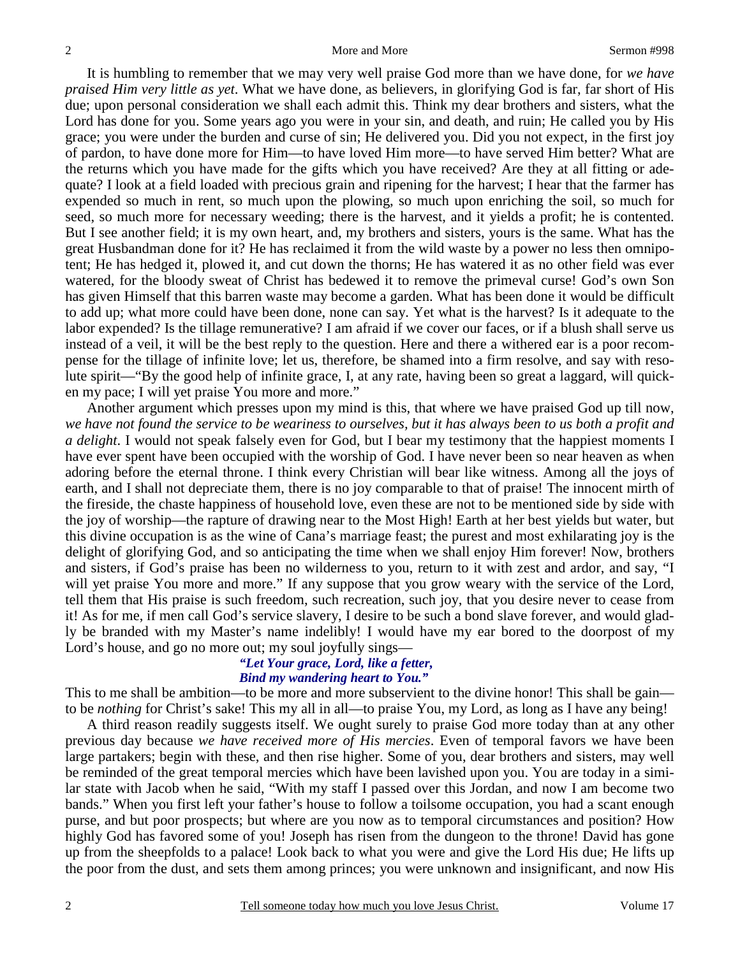It is humbling to remember that we may very well praise God more than we have done, for *we have praised Him very little as yet*. What we have done, as believers, in glorifying God is far, far short of His due; upon personal consideration we shall each admit this. Think my dear brothers and sisters, what the Lord has done for you. Some years ago you were in your sin, and death, and ruin; He called you by His grace; you were under the burden and curse of sin; He delivered you. Did you not expect, in the first joy of pardon, to have done more for Him—to have loved Him more—to have served Him better? What are the returns which you have made for the gifts which you have received? Are they at all fitting or adequate? I look at a field loaded with precious grain and ripening for the harvest; I hear that the farmer has expended so much in rent, so much upon the plowing, so much upon enriching the soil, so much for seed, so much more for necessary weeding; there is the harvest, and it yields a profit; he is contented. But I see another field; it is my own heart, and, my brothers and sisters, yours is the same. What has the great Husbandman done for it? He has reclaimed it from the wild waste by a power no less then omnipotent; He has hedged it, plowed it, and cut down the thorns; He has watered it as no other field was ever watered, for the bloody sweat of Christ has bedewed it to remove the primeval curse! God's own Son has given Himself that this barren waste may become a garden. What has been done it would be difficult to add up; what more could have been done, none can say. Yet what is the harvest? Is it adequate to the labor expended? Is the tillage remunerative? I am afraid if we cover our faces, or if a blush shall serve us instead of a veil, it will be the best reply to the question. Here and there a withered ear is a poor recompense for the tillage of infinite love; let us, therefore, be shamed into a firm resolve, and say with resolute spirit—"By the good help of infinite grace, I, at any rate, having been so great a laggard, will quicken my pace; I will yet praise You more and more."

Another argument which presses upon my mind is this, that where we have praised God up till now, *we have not found the service to be weariness to ourselves, but it has always been to us both a profit and a delight*. I would not speak falsely even for God, but I bear my testimony that the happiest moments I have ever spent have been occupied with the worship of God. I have never been so near heaven as when adoring before the eternal throne. I think every Christian will bear like witness. Among all the joys of earth, and I shall not depreciate them, there is no joy comparable to that of praise! The innocent mirth of the fireside, the chaste happiness of household love, even these are not to be mentioned side by side with the joy of worship—the rapture of drawing near to the Most High! Earth at her best yields but water, but this divine occupation is as the wine of Cana's marriage feast; the purest and most exhilarating joy is the delight of glorifying God, and so anticipating the time when we shall enjoy Him forever! Now, brothers and sisters, if God's praise has been no wilderness to you, return to it with zest and ardor, and say, "I will yet praise You more and more." If any suppose that you grow weary with the service of the Lord, tell them that His praise is such freedom, such recreation, such joy, that you desire never to cease from it! As for me, if men call God's service slavery, I desire to be such a bond slave forever, and would gladly be branded with my Master's name indelibly! I would have my ear bored to the doorpost of my Lord's house, and go no more out; my soul joyfully sings—

# *"Let Your grace, Lord, like a fetter, Bind my wandering heart to You."*

This to me shall be ambition—to be more and more subservient to the divine honor! This shall be gain to be *nothing* for Christ's sake! This my all in all—to praise You, my Lord, as long as I have any being!

A third reason readily suggests itself. We ought surely to praise God more today than at any other previous day because *we have received more of His mercies*. Even of temporal favors we have been large partakers; begin with these, and then rise higher. Some of you, dear brothers and sisters, may well be reminded of the great temporal mercies which have been lavished upon you. You are today in a similar state with Jacob when he said, "With my staff I passed over this Jordan, and now I am become two bands." When you first left your father's house to follow a toilsome occupation, you had a scant enough purse, and but poor prospects; but where are you now as to temporal circumstances and position? How highly God has favored some of you! Joseph has risen from the dungeon to the throne! David has gone up from the sheepfolds to a palace! Look back to what you were and give the Lord His due; He lifts up the poor from the dust, and sets them among princes; you were unknown and insignificant, and now His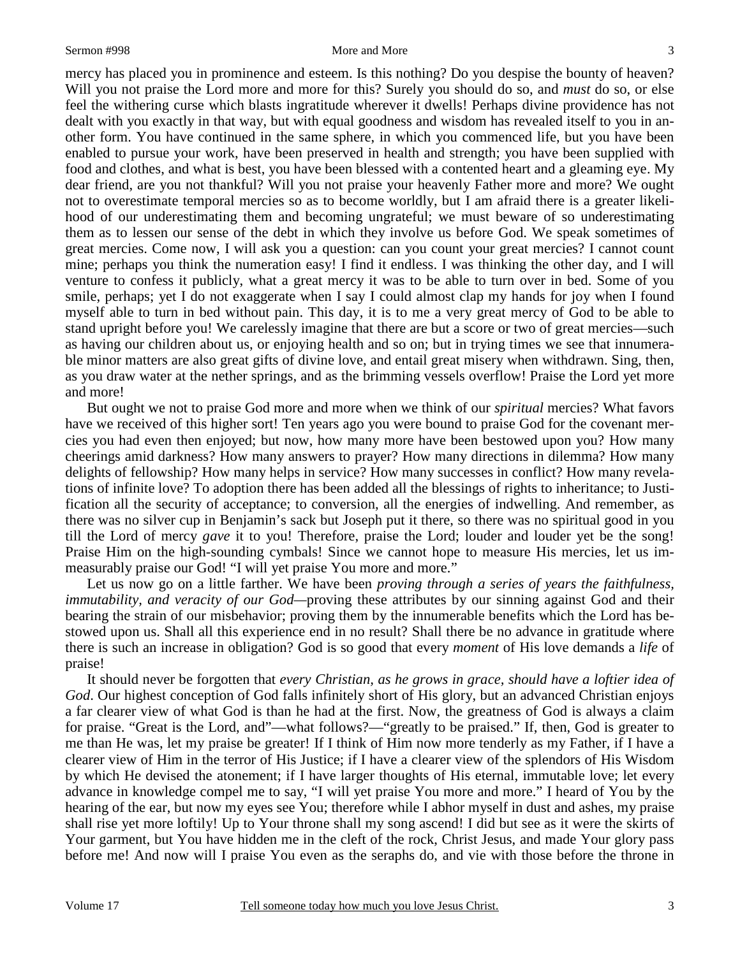#### Sermon #998 More and More

mercy has placed you in prominence and esteem. Is this nothing? Do you despise the bounty of heaven? Will you not praise the Lord more and more for this? Surely you should do so, and *must* do so, or else feel the withering curse which blasts ingratitude wherever it dwells! Perhaps divine providence has not dealt with you exactly in that way, but with equal goodness and wisdom has revealed itself to you in another form. You have continued in the same sphere, in which you commenced life, but you have been enabled to pursue your work, have been preserved in health and strength; you have been supplied with food and clothes, and what is best, you have been blessed with a contented heart and a gleaming eye. My dear friend, are you not thankful? Will you not praise your heavenly Father more and more? We ought not to overestimate temporal mercies so as to become worldly, but I am afraid there is a greater likelihood of our underestimating them and becoming ungrateful; we must beware of so underestimating them as to lessen our sense of the debt in which they involve us before God. We speak sometimes of great mercies. Come now, I will ask you a question: can you count your great mercies? I cannot count mine; perhaps you think the numeration easy! I find it endless. I was thinking the other day, and I will venture to confess it publicly, what a great mercy it was to be able to turn over in bed. Some of you smile, perhaps; yet I do not exaggerate when I say I could almost clap my hands for joy when I found myself able to turn in bed without pain. This day, it is to me a very great mercy of God to be able to stand upright before you! We carelessly imagine that there are but a score or two of great mercies—such as having our children about us, or enjoying health and so on; but in trying times we see that innumerable minor matters are also great gifts of divine love, and entail great misery when withdrawn. Sing, then, as you draw water at the nether springs, and as the brimming vessels overflow! Praise the Lord yet more and more!

But ought we not to praise God more and more when we think of our *spiritual* mercies? What favors have we received of this higher sort! Ten years ago you were bound to praise God for the covenant mercies you had even then enjoyed; but now, how many more have been bestowed upon you? How many cheerings amid darkness? How many answers to prayer? How many directions in dilemma? How many delights of fellowship? How many helps in service? How many successes in conflict? How many revelations of infinite love? To adoption there has been added all the blessings of rights to inheritance; to Justification all the security of acceptance; to conversion, all the energies of indwelling. And remember, as there was no silver cup in Benjamin's sack but Joseph put it there, so there was no spiritual good in you till the Lord of mercy *gave* it to you! Therefore, praise the Lord; louder and louder yet be the song! Praise Him on the high-sounding cymbals! Since we cannot hope to measure His mercies, let us immeasurably praise our God! "I will yet praise You more and more."

Let us now go on a little farther. We have been *proving through a series of years the faithfulness, immutability, and veracity of our God—proving these attributes by our sinning against God and their* bearing the strain of our misbehavior; proving them by the innumerable benefits which the Lord has bestowed upon us. Shall all this experience end in no result? Shall there be no advance in gratitude where there is such an increase in obligation? God is so good that every *moment* of His love demands a *life* of praise!

It should never be forgotten that *every Christian, as he grows in grace, should have a loftier idea of God*. Our highest conception of God falls infinitely short of His glory, but an advanced Christian enjoys a far clearer view of what God is than he had at the first. Now, the greatness of God is always a claim for praise. "Great is the Lord, and"—what follows?—"greatly to be praised." If, then, God is greater to me than He was, let my praise be greater! If I think of Him now more tenderly as my Father, if I have a clearer view of Him in the terror of His Justice; if I have a clearer view of the splendors of His Wisdom by which He devised the atonement; if I have larger thoughts of His eternal, immutable love; let every advance in knowledge compel me to say, "I will yet praise You more and more." I heard of You by the hearing of the ear, but now my eyes see You; therefore while I abhor myself in dust and ashes, my praise shall rise yet more loftily! Up to Your throne shall my song ascend! I did but see as it were the skirts of Your garment, but You have hidden me in the cleft of the rock, Christ Jesus, and made Your glory pass before me! And now will I praise You even as the seraphs do, and vie with those before the throne in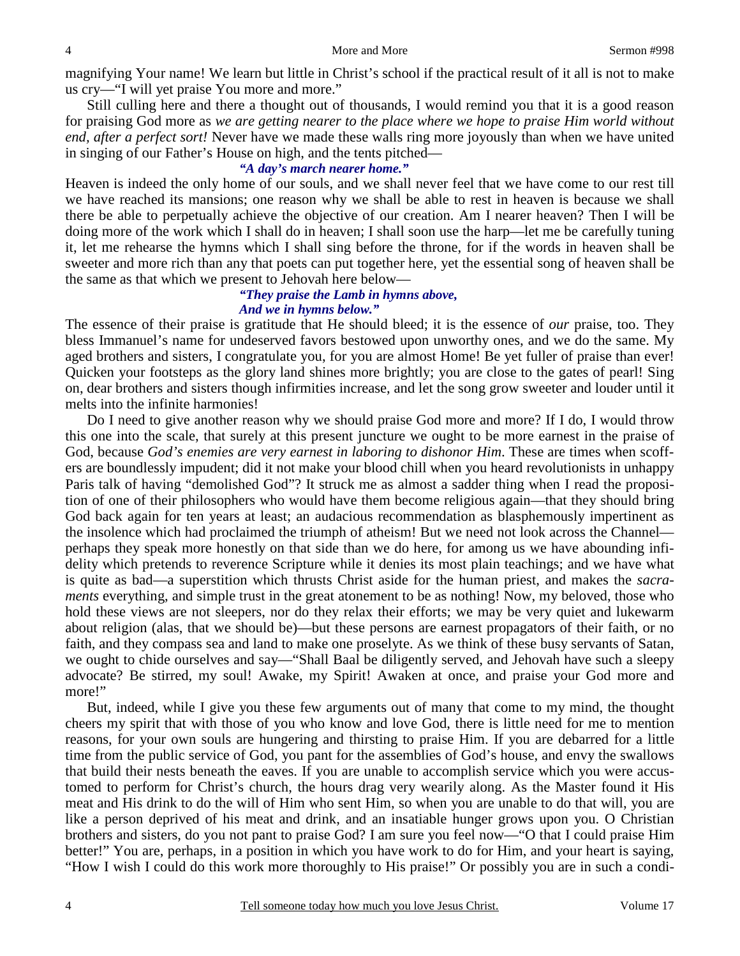magnifying Your name! We learn but little in Christ's school if the practical result of it all is not to make us cry—"I will yet praise You more and more."

Still culling here and there a thought out of thousands, I would remind you that it is a good reason for praising God more as *we are getting nearer to the place where we hope to praise Him world without end, after a perfect sort!* Never have we made these walls ring more joyously than when we have united in singing of our Father's House on high, and the tents pitched—

## *"A day's march nearer home."*

Heaven is indeed the only home of our souls, and we shall never feel that we have come to our rest till we have reached its mansions; one reason why we shall be able to rest in heaven is because we shall there be able to perpetually achieve the objective of our creation. Am I nearer heaven? Then I will be doing more of the work which I shall do in heaven; I shall soon use the harp—let me be carefully tuning it, let me rehearse the hymns which I shall sing before the throne, for if the words in heaven shall be sweeter and more rich than any that poets can put together here, yet the essential song of heaven shall be the same as that which we present to Jehovah here below—

### *"They praise the Lamb in hymns above, And we in hymns below."*

The essence of their praise is gratitude that He should bleed; it is the essence of *our* praise, too. They bless Immanuel's name for undeserved favors bestowed upon unworthy ones, and we do the same. My aged brothers and sisters, I congratulate you, for you are almost Home! Be yet fuller of praise than ever! Quicken your footsteps as the glory land shines more brightly; you are close to the gates of pearl! Sing on, dear brothers and sisters though infirmities increase, and let the song grow sweeter and louder until it melts into the infinite harmonies!

Do I need to give another reason why we should praise God more and more? If I do, I would throw this one into the scale, that surely at this present juncture we ought to be more earnest in the praise of God, because *God's enemies are very earnest in laboring to dishonor Him*. These are times when scoffers are boundlessly impudent; did it not make your blood chill when you heard revolutionists in unhappy Paris talk of having "demolished God"? It struck me as almost a sadder thing when I read the proposition of one of their philosophers who would have them become religious again—that they should bring God back again for ten years at least; an audacious recommendation as blasphemously impertinent as the insolence which had proclaimed the triumph of atheism! But we need not look across the Channel perhaps they speak more honestly on that side than we do here, for among us we have abounding infidelity which pretends to reverence Scripture while it denies its most plain teachings; and we have what is quite as bad—a superstition which thrusts Christ aside for the human priest, and makes the *sacraments* everything, and simple trust in the great atonement to be as nothing! Now, my beloved, those who hold these views are not sleepers, nor do they relax their efforts; we may be very quiet and lukewarm about religion (alas, that we should be)—but these persons are earnest propagators of their faith, or no faith, and they compass sea and land to make one proselyte. As we think of these busy servants of Satan, we ought to chide ourselves and say—"Shall Baal be diligently served, and Jehovah have such a sleepy advocate? Be stirred, my soul! Awake, my Spirit! Awaken at once, and praise your God more and more!"

But, indeed, while I give you these few arguments out of many that come to my mind, the thought cheers my spirit that with those of you who know and love God, there is little need for me to mention reasons, for your own souls are hungering and thirsting to praise Him. If you are debarred for a little time from the public service of God, you pant for the assemblies of God's house, and envy the swallows that build their nests beneath the eaves. If you are unable to accomplish service which you were accustomed to perform for Christ's church, the hours drag very wearily along. As the Master found it His meat and His drink to do the will of Him who sent Him, so when you are unable to do that will, you are like a person deprived of his meat and drink, and an insatiable hunger grows upon you. O Christian brothers and sisters, do you not pant to praise God? I am sure you feel now—"O that I could praise Him better!" You are, perhaps, in a position in which you have work to do for Him, and your heart is saying, "How I wish I could do this work more thoroughly to His praise!" Or possibly you are in such a condi-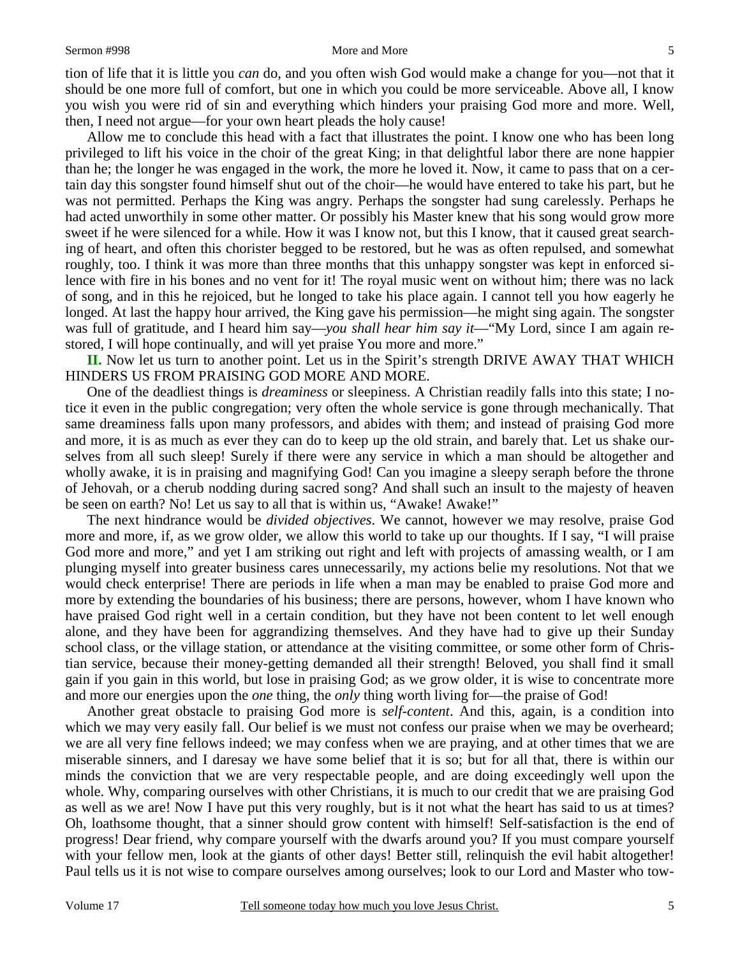#### Sermon #998 More and More

tion of life that it is little you *can* do, and you often wish God would make a change for you—not that it should be one more full of comfort, but one in which you could be more serviceable. Above all, I know you wish you were rid of sin and everything which hinders your praising God more and more. Well, then, I need not argue—for your own heart pleads the holy cause!

Allow me to conclude this head with a fact that illustrates the point. I know one who has been long privileged to lift his voice in the choir of the great King; in that delightful labor there are none happier than he; the longer he was engaged in the work, the more he loved it. Now, it came to pass that on a certain day this songster found himself shut out of the choir—he would have entered to take his part, but he was not permitted. Perhaps the King was angry. Perhaps the songster had sung carelessly. Perhaps he had acted unworthily in some other matter. Or possibly his Master knew that his song would grow more sweet if he were silenced for a while. How it was I know not, but this I know, that it caused great searching of heart, and often this chorister begged to be restored, but he was as often repulsed, and somewhat roughly, too. I think it was more than three months that this unhappy songster was kept in enforced silence with fire in his bones and no vent for it! The royal music went on without him; there was no lack of song, and in this he rejoiced, but he longed to take his place again. I cannot tell you how eagerly he longed. At last the happy hour arrived, the King gave his permission—he might sing again. The songster was full of gratitude, and I heard him say—*you shall hear him say it*—"My Lord, since I am again restored, I will hope continually, and will yet praise You more and more."

**II.** Now let us turn to another point. Let us in the Spirit's strength DRIVE AWAY THAT WHICH HINDERS US FROM PRAISING GOD MORE AND MORE.

One of the deadliest things is *dreaminess* or sleepiness. A Christian readily falls into this state; I notice it even in the public congregation; very often the whole service is gone through mechanically. That same dreaminess falls upon many professors, and abides with them; and instead of praising God more and more, it is as much as ever they can do to keep up the old strain, and barely that. Let us shake ourselves from all such sleep! Surely if there were any service in which a man should be altogether and wholly awake, it is in praising and magnifying God! Can you imagine a sleepy seraph before the throne of Jehovah, or a cherub nodding during sacred song? And shall such an insult to the majesty of heaven be seen on earth? No! Let us say to all that is within us, "Awake! Awake!"

The next hindrance would be *divided objectives*. We cannot, however we may resolve, praise God more and more, if, as we grow older, we allow this world to take up our thoughts. If I say, "I will praise God more and more," and yet I am striking out right and left with projects of amassing wealth, or I am plunging myself into greater business cares unnecessarily, my actions belie my resolutions. Not that we would check enterprise! There are periods in life when a man may be enabled to praise God more and more by extending the boundaries of his business; there are persons, however, whom I have known who have praised God right well in a certain condition, but they have not been content to let well enough alone, and they have been for aggrandizing themselves. And they have had to give up their Sunday school class, or the village station, or attendance at the visiting committee, or some other form of Christian service, because their money-getting demanded all their strength! Beloved, you shall find it small gain if you gain in this world, but lose in praising God; as we grow older, it is wise to concentrate more and more our energies upon the *one* thing, the *only* thing worth living for—the praise of God!

Another great obstacle to praising God more is *self-content*. And this, again, is a condition into which we may very easily fall. Our belief is we must not confess our praise when we may be overheard; we are all very fine fellows indeed; we may confess when we are praying, and at other times that we are miserable sinners, and I daresay we have some belief that it is so; but for all that, there is within our minds the conviction that we are very respectable people, and are doing exceedingly well upon the whole. Why, comparing ourselves with other Christians, it is much to our credit that we are praising God as well as we are! Now I have put this very roughly, but is it not what the heart has said to us at times? Oh, loathsome thought, that a sinner should grow content with himself! Self-satisfaction is the end of progress! Dear friend, why compare yourself with the dwarfs around you? If you must compare yourself with your fellow men, look at the giants of other days! Better still, relinquish the evil habit altogether! Paul tells us it is not wise to compare ourselves among ourselves; look to our Lord and Master who tow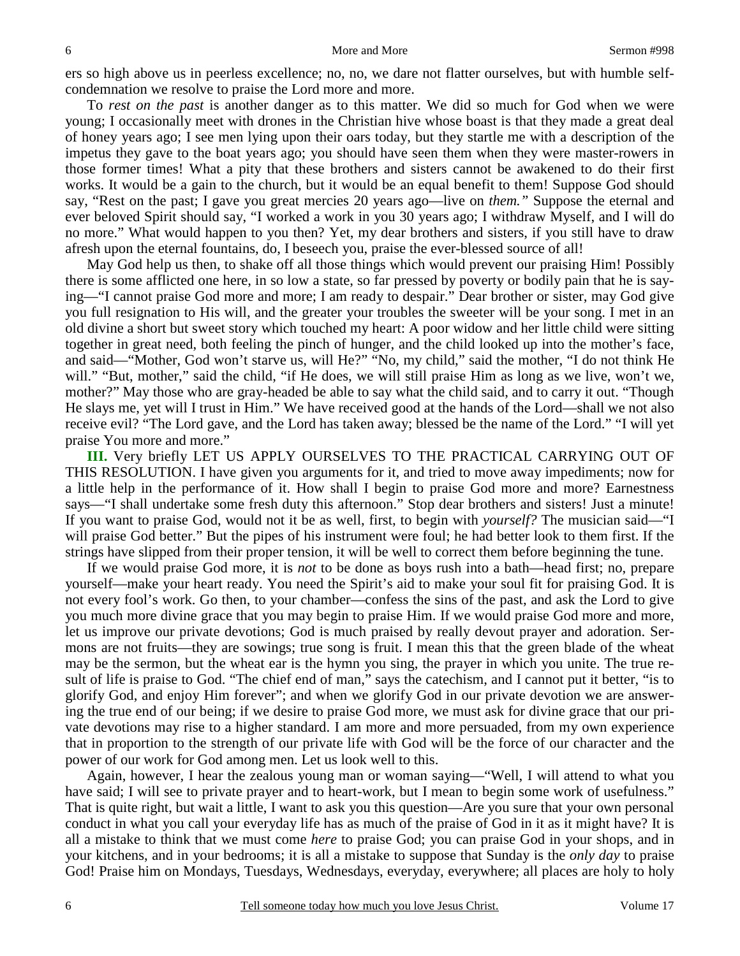ers so high above us in peerless excellence; no, no, we dare not flatter ourselves, but with humble selfcondemnation we resolve to praise the Lord more and more.

To *rest on the past* is another danger as to this matter. We did so much for God when we were young; I occasionally meet with drones in the Christian hive whose boast is that they made a great deal of honey years ago; I see men lying upon their oars today, but they startle me with a description of the impetus they gave to the boat years ago; you should have seen them when they were master-rowers in those former times! What a pity that these brothers and sisters cannot be awakened to do their first works. It would be a gain to the church, but it would be an equal benefit to them! Suppose God should say, "Rest on the past; I gave you great mercies 20 years ago—live on *them."* Suppose the eternal and ever beloved Spirit should say, "I worked a work in you 30 years ago; I withdraw Myself, and I will do no more." What would happen to you then? Yet, my dear brothers and sisters, if you still have to draw afresh upon the eternal fountains, do, I beseech you, praise the ever-blessed source of all!

May God help us then, to shake off all those things which would prevent our praising Him! Possibly there is some afflicted one here, in so low a state, so far pressed by poverty or bodily pain that he is saying—"I cannot praise God more and more; I am ready to despair." Dear brother or sister, may God give you full resignation to His will, and the greater your troubles the sweeter will be your song. I met in an old divine a short but sweet story which touched my heart: A poor widow and her little child were sitting together in great need, both feeling the pinch of hunger, and the child looked up into the mother's face, and said—"Mother, God won't starve us, will He?" "No, my child," said the mother, "I do not think He will." "But, mother," said the child, "if He does, we will still praise Him as long as we live, won't we, mother?" May those who are gray-headed be able to say what the child said, and to carry it out. "Though He slays me, yet will I trust in Him." We have received good at the hands of the Lord—shall we not also receive evil? "The Lord gave, and the Lord has taken away; blessed be the name of the Lord." "I will yet praise You more and more."

**III.** Very briefly LET US APPLY OURSELVES TO THE PRACTICAL CARRYING OUT OF THIS RESOLUTION. I have given you arguments for it, and tried to move away impediments; now for a little help in the performance of it. How shall I begin to praise God more and more? Earnestness says—"I shall undertake some fresh duty this afternoon." Stop dear brothers and sisters! Just a minute! If you want to praise God, would not it be as well, first, to begin with *yourself?* The musician said—"I will praise God better." But the pipes of his instrument were foul; he had better look to them first. If the strings have slipped from their proper tension, it will be well to correct them before beginning the tune.

If we would praise God more, it is *not* to be done as boys rush into a bath—head first; no, prepare yourself—make your heart ready. You need the Spirit's aid to make your soul fit for praising God. It is not every fool's work. Go then, to your chamber—confess the sins of the past, and ask the Lord to give you much more divine grace that you may begin to praise Him. If we would praise God more and more, let us improve our private devotions; God is much praised by really devout prayer and adoration. Sermons are not fruits—they are sowings; true song is fruit. I mean this that the green blade of the wheat may be the sermon, but the wheat ear is the hymn you sing, the prayer in which you unite. The true result of life is praise to God. "The chief end of man," says the catechism, and I cannot put it better, "is to glorify God, and enjoy Him forever"; and when we glorify God in our private devotion we are answering the true end of our being; if we desire to praise God more, we must ask for divine grace that our private devotions may rise to a higher standard. I am more and more persuaded, from my own experience that in proportion to the strength of our private life with God will be the force of our character and the power of our work for God among men. Let us look well to this.

Again, however, I hear the zealous young man or woman saying—"Well, I will attend to what you have said; I will see to private prayer and to heart-work, but I mean to begin some work of usefulness." That is quite right, but wait a little, I want to ask you this question—Are you sure that your own personal conduct in what you call your everyday life has as much of the praise of God in it as it might have? It is all a mistake to think that we must come *here* to praise God; you can praise God in your shops, and in your kitchens, and in your bedrooms; it is all a mistake to suppose that Sunday is the *only day* to praise God! Praise him on Mondays, Tuesdays, Wednesdays, everyday, everywhere; all places are holy to holy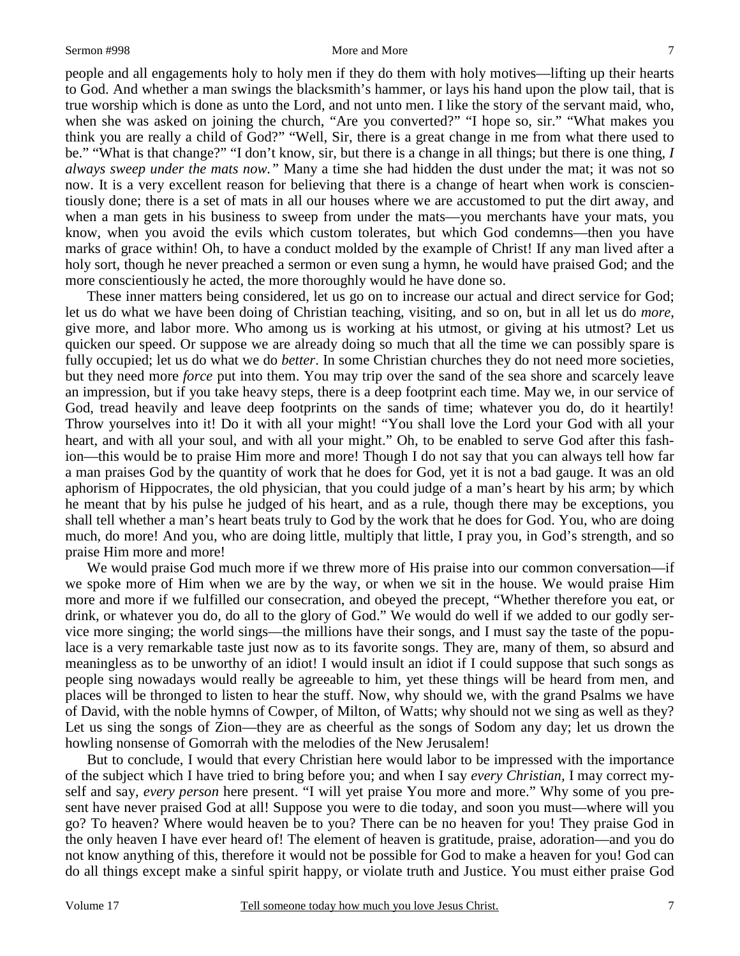people and all engagements holy to holy men if they do them with holy motives—lifting up their hearts to God. And whether a man swings the blacksmith's hammer, or lays his hand upon the plow tail, that is true worship which is done as unto the Lord, and not unto men. I like the story of the servant maid, who, when she was asked on joining the church, "Are you converted?" "I hope so, sir." "What makes you think you are really a child of God?" "Well, Sir, there is a great change in me from what there used to be." "What is that change?" "I don't know, sir, but there is a change in all things; but there is one thing, *I always sweep under the mats now."* Many a time she had hidden the dust under the mat; it was not so now. It is a very excellent reason for believing that there is a change of heart when work is conscientiously done; there is a set of mats in all our houses where we are accustomed to put the dirt away, and when a man gets in his business to sweep from under the mats—you merchants have your mats, you know, when you avoid the evils which custom tolerates, but which God condemns—then you have marks of grace within! Oh, to have a conduct molded by the example of Christ! If any man lived after a holy sort, though he never preached a sermon or even sung a hymn, he would have praised God; and the more conscientiously he acted, the more thoroughly would he have done so.

These inner matters being considered, let us go on to increase our actual and direct service for God; let us do what we have been doing of Christian teaching, visiting, and so on, but in all let us do *more*, give more, and labor more. Who among us is working at his utmost, or giving at his utmost? Let us quicken our speed. Or suppose we are already doing so much that all the time we can possibly spare is fully occupied; let us do what we do *better*. In some Christian churches they do not need more societies, but they need more *force* put into them. You may trip over the sand of the sea shore and scarcely leave an impression, but if you take heavy steps, there is a deep footprint each time. May we, in our service of God, tread heavily and leave deep footprints on the sands of time; whatever you do, do it heartily! Throw yourselves into it! Do it with all your might! "You shall love the Lord your God with all your heart, and with all your soul, and with all your might." Oh, to be enabled to serve God after this fashion—this would be to praise Him more and more! Though I do not say that you can always tell how far a man praises God by the quantity of work that he does for God, yet it is not a bad gauge. It was an old aphorism of Hippocrates, the old physician, that you could judge of a man's heart by his arm; by which he meant that by his pulse he judged of his heart, and as a rule, though there may be exceptions, you shall tell whether a man's heart beats truly to God by the work that he does for God. You, who are doing much, do more! And you, who are doing little, multiply that little, I pray you, in God's strength, and so praise Him more and more!

We would praise God much more if we threw more of His praise into our common conversation—if we spoke more of Him when we are by the way, or when we sit in the house. We would praise Him more and more if we fulfilled our consecration, and obeyed the precept, "Whether therefore you eat, or drink, or whatever you do, do all to the glory of God." We would do well if we added to our godly service more singing; the world sings—the millions have their songs, and I must say the taste of the populace is a very remarkable taste just now as to its favorite songs. They are, many of them, so absurd and meaningless as to be unworthy of an idiot! I would insult an idiot if I could suppose that such songs as people sing nowadays would really be agreeable to him, yet these things will be heard from men, and places will be thronged to listen to hear the stuff. Now, why should we, with the grand Psalms we have of David, with the noble hymns of Cowper, of Milton, of Watts; why should not we sing as well as they? Let us sing the songs of Zion—they are as cheerful as the songs of Sodom any day; let us drown the howling nonsense of Gomorrah with the melodies of the New Jerusalem!

But to conclude, I would that every Christian here would labor to be impressed with the importance of the subject which I have tried to bring before you; and when I say *every Christian,* I may correct myself and say, *every person* here present. "I will yet praise You more and more." Why some of you present have never praised God at all! Suppose you were to die today, and soon you must—where will you go? To heaven? Where would heaven be to you? There can be no heaven for you! They praise God in the only heaven I have ever heard of! The element of heaven is gratitude, praise, adoration—and you do not know anything of this, therefore it would not be possible for God to make a heaven for you! God can do all things except make a sinful spirit happy, or violate truth and Justice. You must either praise God